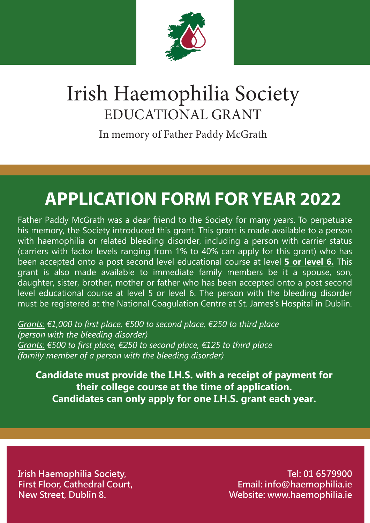

# Irish Haemophilia Society EDUCATIONAL GRANT

In memory of Father Paddy McGrath

# **APPLICATION FORM FOR YEAR 2022**

Father Paddy McGrath was a dear friend to the Society for many years. To perpetuate his memory, the Society introduced this grant. This grant is made available to a person with haemophilia or related bleeding disorder, including a person with carrier status (carriers with factor levels ranging from 1% to 40% can apply for this grant) who has been accepted onto a post second level educational course at level **5 or level 6.** This grant is also made available to immediate family members be it a spouse, son, daughter, sister, brother, mother or father who has been accepted onto a post second level educational course at level 5 or level 6. The person with the bleeding disorder must be registered at the National Coagulation Centre at St. James's Hospital in Dublin.

*Grants: €1,000 to first place, €500 to second place, €250 to third place (person with the bleeding disorder) Grants: €500 to first place, €250 to second place, €125 to third place (family member of a person with the bleeding disorder)* 

**Candidate must provide the I.H.S. with a receipt of payment for their college course at the time of application. Candidates can only apply for one I.H.S. grant each year.**

**Irish Haemophilia Society, First Floor, Cathedral Court, New Street, Dublin 8.**

**Tel: 01 6579900 Email: info@haemophilia.ie Website: www.haemophilia.ie**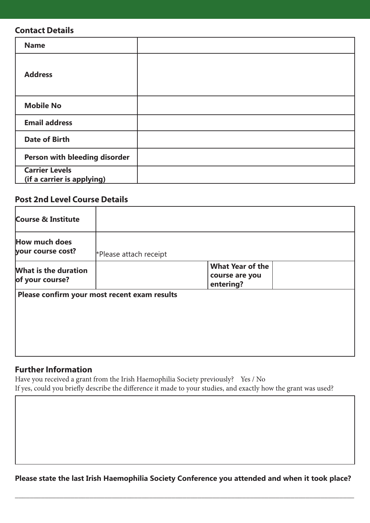#### **Contact Details**

| <b>Name</b>                                         |  |
|-----------------------------------------------------|--|
| <b>Address</b>                                      |  |
| <b>Mobile No</b>                                    |  |
| <b>Email address</b>                                |  |
| <b>Date of Birth</b>                                |  |
| Person with bleeding disorder                       |  |
| <b>Carrier Levels</b><br>(if a carrier is applying) |  |

### **Post 2nd Level Course Details**

| *Please attach receipt |                                                        |  |
|------------------------|--------------------------------------------------------|--|
|                        | <b>What Year of the</b><br>course are you<br>entering? |  |
|                        |                                                        |  |
|                        |                                                        |  |
|                        |                                                        |  |
|                        | Please confirm your most recent exam results           |  |

## **Further Information**

Have you received a grant from the Irish Haemophilia Society previously? Yes / No If yes, could you briefly describe the difference it made to your studies, and exactly how the grant was used?

**Please state the last Irish Haemophilia Society Conference you attended and when it took place?**

\_\_\_\_\_\_\_\_\_\_\_\_\_\_\_\_\_\_\_\_\_\_\_\_\_\_\_\_\_\_\_\_\_\_\_\_\_\_\_\_\_\_\_\_\_\_\_\_\_\_\_\_\_\_\_\_\_\_\_\_\_\_\_\_\_\_\_\_\_\_\_\_\_\_\_\_\_\_\_\_\_\_\_\_\_\_\_\_\_\_\_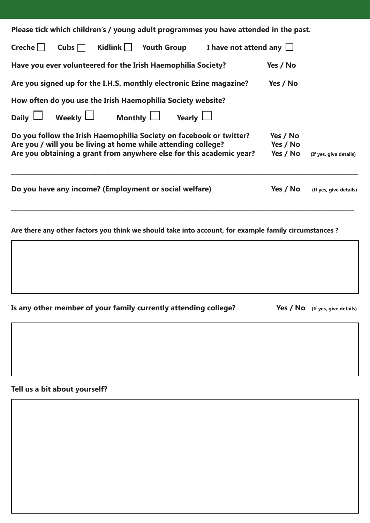|               |                                                               |  | Please tick which children's / young adult programmes you have attended in the past.                 |                      |                        |
|---------------|---------------------------------------------------------------|--|------------------------------------------------------------------------------------------------------|----------------------|------------------------|
| $Create \Box$ | Cubs $\Box$ Kidlink $\Box$ Youth Group                        |  | I have not attend any $\Box$                                                                         |                      |                        |
|               | Have you ever volunteered for the Irish Haemophilia Society?  |  |                                                                                                      | Yes / No             |                        |
|               |                                                               |  | Are you signed up for the I.H.S. monthly electronic Ezine magazine?                                  | Yes / No             |                        |
|               | How often do you use the Irish Haemophilia Society website?   |  |                                                                                                      |                      |                        |
|               | Daily $\Box$ Weekly $\Box$ Monthly $\Box$ Yearly $\Box$       |  |                                                                                                      |                      |                        |
|               | Are you / will you be living at home while attending college? |  | Do you follow the Irish Haemophilia Society on facebook or twitter?                                  | Yes / No<br>Yes / No |                        |
|               |                                                               |  | Are you obtaining a grant from anywhere else for this academic year?                                 | Yes / No             | (If yes, give details) |
|               | Do you have any income? (Employment or social welfare)        |  |                                                                                                      | Yes / No             | (If yes, give details) |
|               |                                                               |  | Are there any other factors you think we should take into account, for example family circumstances? |                      |                        |

Is any other member of your family currently attending college? Yes / No (If yes, give details)

**Tell us a bit about yourself?**